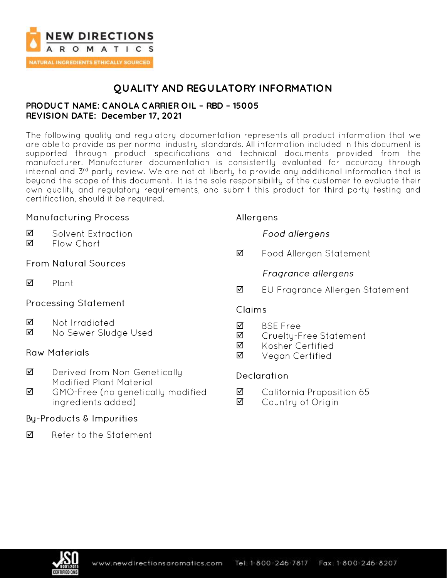

## **QUALITY AND REGULATORY INFORMATION**

### **PRODUC T NAME: C ANOLA CARRIER OIL – RBD – 15005 REVISION DATE: December 17, 2021**

The following quality and regulatory documentation represents all product information that we are able to provide as per normal industry standards. All information included in this document is supported through product specifications and technical documents provided from the<br>manufacturer. Manufacturer documentation is consistently evaluated for accuracy through internal and 3rd party review. We are not at liberty to provide any additional information that is beyond the scope of this document. It is the sole responsibility of the customer to evaluate their own quality and regulatory requirements, and submit this product for third party testing and certification, should it be required.

### **Manufacturing Process**

#### $\triangledown$ Solvent Extraction

☑ Flow Chart

## **From Natural Sources**

 $\triangledown$ Plant

### **Processing Statement**

- ☑ Not Irradiated
- ☑ No Sewer Sludge Used

### **Raw Materials**

- ☑ Derived from Non-Genetically **Modified Plant Material**
- ☑ GMO-Free (no genetically modified ingredients added)

### Bu-Products & Impurities

Refer to the Statement  $\triangledown$ 

## Allergens

**Food allergens** 

☑ Food Allergen Statement

## Fragrance allergens

☑ EU Fragrance Allergen Statement

### Claims

- **BSF Free** ☑
- Cruelty-Free Statement ☑
- ☑ Kosher Certified
- ☑ Vegan Certified

## **Declaration**

- ☑ California Proposition 65
- ☑ Country of Origin

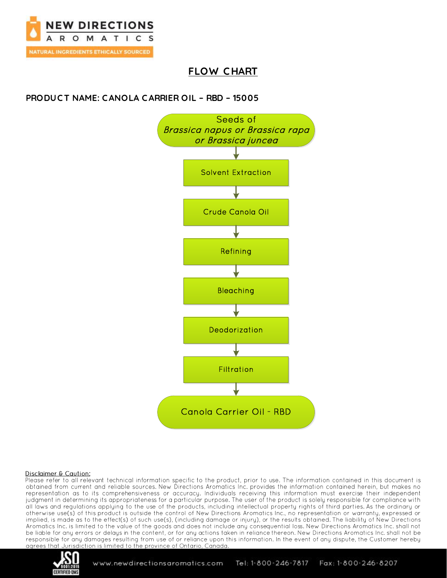

## **FLOW CHART**

## **PRODUCT NAME: CANOLA CARRIER OIL - RBD - 15005**



#### Disclaimer & Caution:

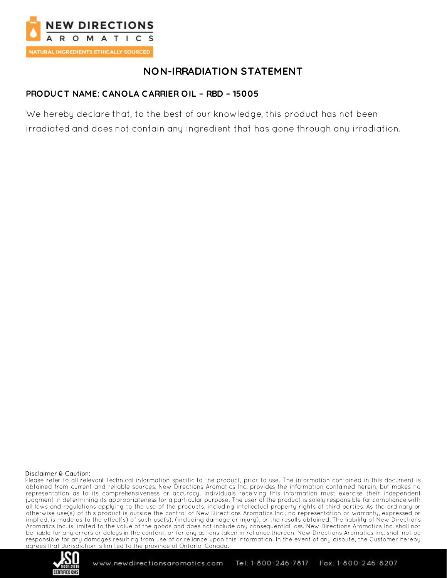

## **NON-IRRADIATION STATEMENT**

## PRODUCT NAME: CANOLA CARRIER OIL - RBD - 15005

We hereby declare that, to the best of our knowledge, this product has not been irradiated and does not contain any ingredient that has gone through any irradiation.

#### Disclaimer & Caution:

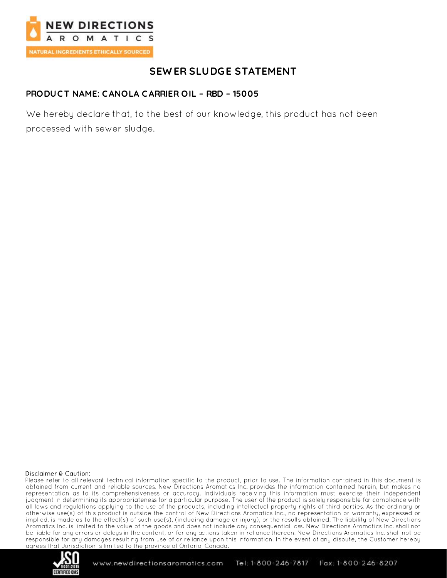

## **SEWER SLUDGE STATEMENT**

### PRODUCT NAME: CANOLA CARRIER OIL - RBD - 15005

We hereby declare that, to the best of our knowledge, this product has not been processed with sewer sludge.

#### Disclaimer & Caution:

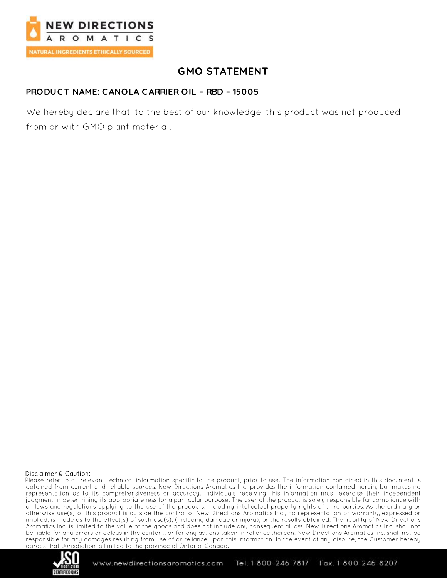

# **GMO STATEMENT**

## PRODUCT NAME: CANOLA CARRIER OIL - RBD - 15005

We hereby declare that, to the best of our knowledge, this product was not produced from or with GMO plant material.

#### Disclaimer & Caution:

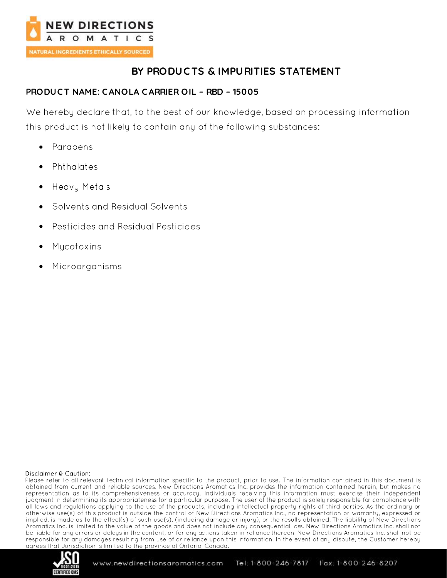

## **BY PRODUC TS & IMPURITIES STATEMENT**

### **PRODUC T NAME: C ANOLA CARRIER OIL – RBD – 15005**

We hereby declare that, to the best of our knowledge, based on processing information this product is not likely to contain any of the following substances:

- Parabens •
- Phthalates
- **Heavy Metals**
- Solvents and Residual Solvents •
- Pesticides and Residual Pesticides
- Mycotoxins
- •Microorganisms

#### Disclaimer & Caution:

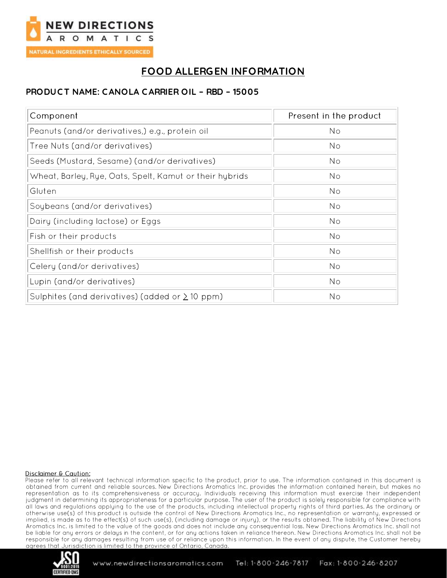

# **FOOD ALLERGEN INFORMATION**

## PRODUCT NAME: CANOLA CARRIER OIL - RBD - 15005

| Component                                               | Present in the product |
|---------------------------------------------------------|------------------------|
| Peanuts (and/or derivatives,) e.g., protein oil         | No                     |
| Tree Nuts (and/or derivatives)                          | No                     |
| Seeds (Mustard, Sesame) (and/or derivatives)            | No                     |
| Wheat, Barley, Rye, Oats, Spelt, Kamut or their hybrids | No                     |
| Gluten                                                  | No                     |
| Soybeans (and/or derivatives)                           | No                     |
| Dairy (including lactose) or Eggs                       | No                     |
| Fish or their products                                  | No                     |
| Shellfish or their products                             | No                     |
| Celery (and/or derivatives)                             | No                     |
| Lupin (and/or derivatives)                              | No                     |
| Sulphites (and derivatives) (added or $\geq$ 10 ppm)    | No                     |

#### Disclaimer & Caution:

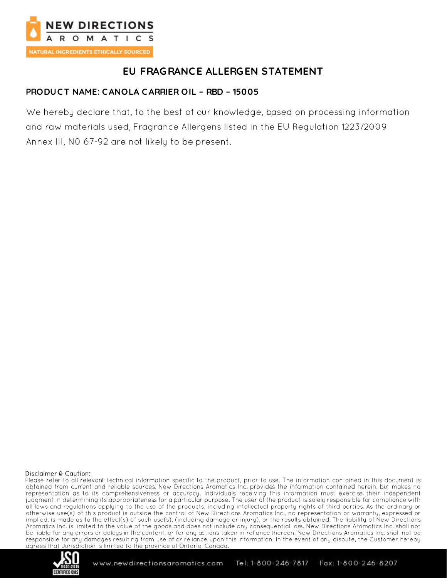

# EU FRAGRANCE ALLERGEN STATEMENT

## PRODUCT NAME: CANOLA CARRIER OIL - RBD - 15005

We hereby declare that, to the best of our knowledge, based on processing information and raw materials used, Fragrance Allergens listed in the EU Regulation 1223/2009 Annex III, NO 67-92 are not likely to be present.

#### Disclaimer & Caution:

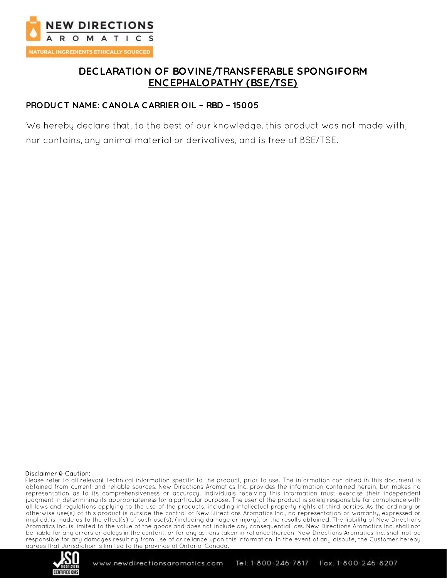

## **DEC LARATION OF BOVINE/TRANSFERABLE SPONGIFORM ENC EPHALOPATHY (BSE/TSE)**

### **PRODUC T NAME: C ANOLA CARRIER OIL – RBD – 15005**

We hereby declare that, to the best of our knowledge. this product was not made with,

nor contains, any animal material or derivatives, and is free of BSE/TSE.

#### Disclaimer & Caution:

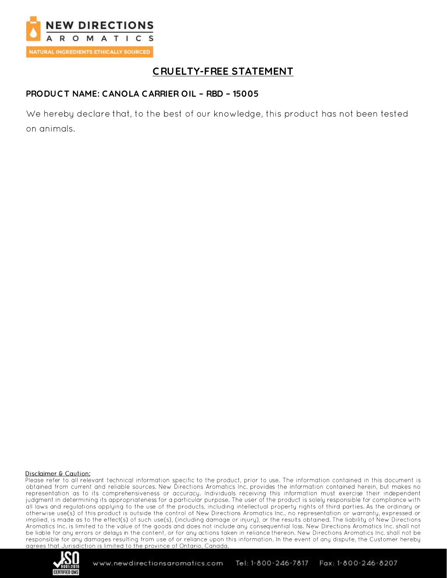

# **CRUELTY-FREE STATEMENT**

### PRODUCT NAME: CANOLA CARRIER OIL - RBD - 15005

We hereby declare that, to the best of our knowledge, this product has not been tested on animals.

#### Disclaimer & Caution:

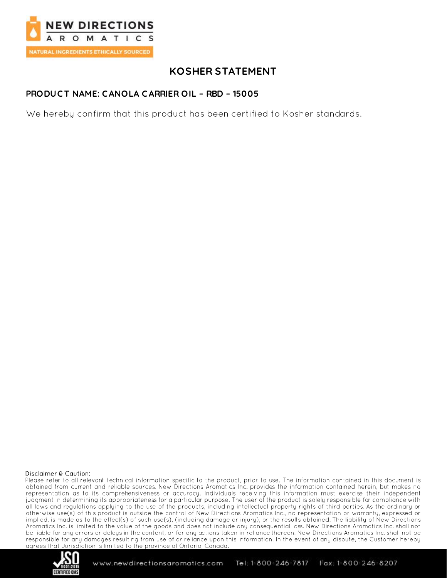

## **KOSHER STATEMENT**

### PRODUCT NAME: CANOLA CARRIER OIL - RBD - 15005

We hereby confirm that this product has been certified to Kosher standards.

#### Disclaimer & Caution:

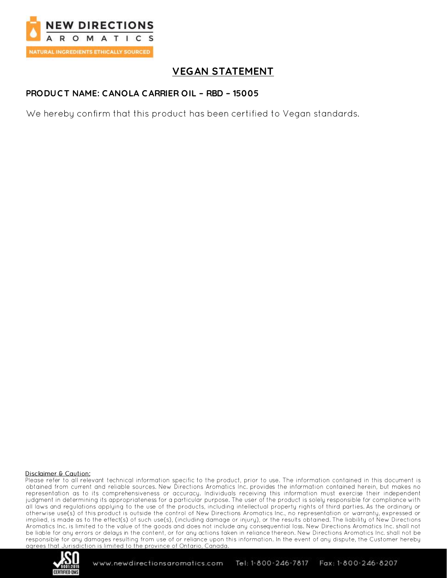

## **VEGAN STATEMENT**

### PRODUCT NAME: CANOLA CARRIER OIL - RBD - 15005

We hereby confirm that this product has been certified to Vegan standards.

#### Disclaimer & Caution:

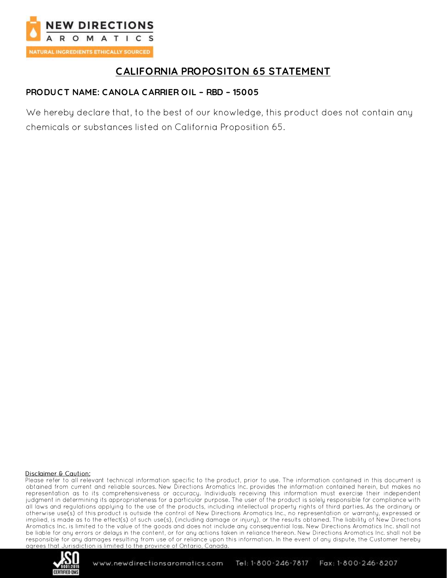

## **CALIFORNIA PROPOSITON 65 STATEMENT**

## PRODUCT NAME: CANOLA CARRIER OIL - RBD - 15005

We hereby declare that, to the best of our knowledge, this product does not contain any chemicals or substances listed on California Proposition 65.

#### Disclaimer & Caution: